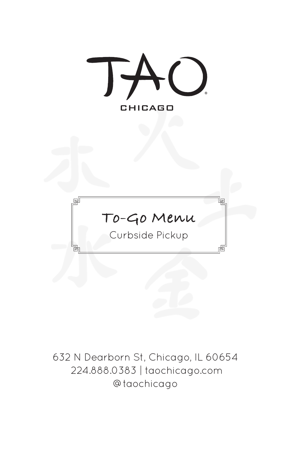

632 N Dearborn St, Chicago, IL 60654 224.888.0383 | taochicago.com @taochicago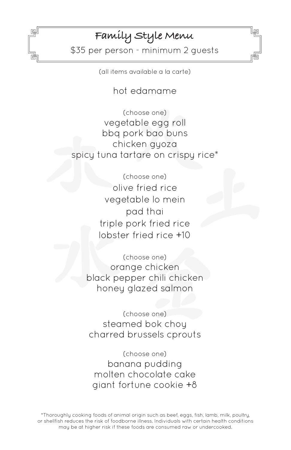## **Family Style Menu**

冋

\$35 per person - minimum 2 guests

(all items available a la carte)

hot edamame

(choose one) vegetable egg roll bbq pork bao buns chicken gyoza spicy tuna tartare on crispy rice\*

> (choose one) olive fried rice vegetable lo mein pad thai triple pork fried rice lobster fried rice +10

(choose one) orange chicken black pepper chili chicken honey glazed salmon

(choose one) steamed bok choy charred brussels cprouts

(choose one) banana pudding molten chocolate cake giant fortune cookie +8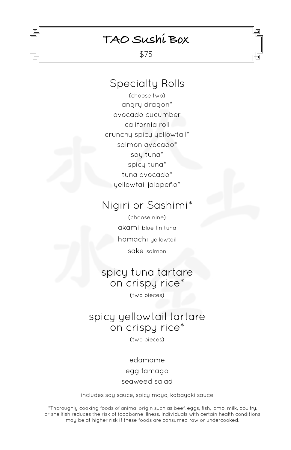## **TAO Sushi Box**

回

\$75

### Specialty Rolls

(choose two) angry dragon\* avocado cucumber california roll crunchy spicy yellowtail\* salmon avocado\* soy tuna\* spicy tuna\* tuna avocado\* yellowtail jalapeño\*

## Nigiri or Sashimi\*

(choose nine) akami blue fin tuna hamachi yellowtail sake salmon

## spicy tuna tartare on crispy rice\*

(two pieces)

## spicy yellowtail tartare on crispy rice\*

(two pieces)

edamame egg tamago seaweed salad

includes soy sauce, spicy mayo, kabayaki sauce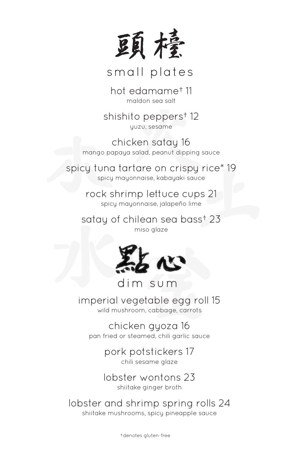

small plates

hot edamame† 11 maldon sea salt

shishito peppers† 12 yuzu, sesame

chicken satay 16 mango papaya salad, peanut dipping sauce

spicy tuna tartare on crispy rice\* 19 spicy mayonnaise, kabayaki sauce

> rock shrimp lettuce cups 21 spicy mayonnaise, jalapeño lime

satay of chilean sea bass† 23 miso glaze



dim sum

imperial vegetable egg roll 15 wild mushroom, cabbage, carrots

chicken gyoza 16 pan fried or steamed, chili garlic sauce

> pork potstickers 17 chili sesame glaze

> lobster wontons 23 shiitake ginger broth

lobster and shrimp spring rolls 24 shiitake mushrooms, spicy pineapple sauce

†denotes gluten-free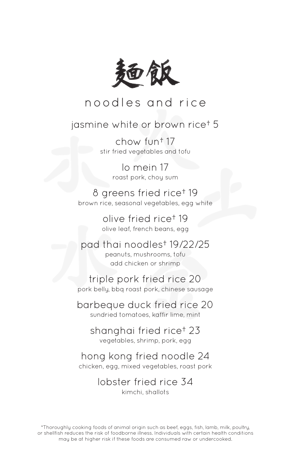

# noodles and rice

### jasmine white or brown rice† 5

chow fun† 17 stir fried vegetables and tofu

> lo mein 17 roast pork, choy sum

8 greens fried rice† 19 brown rice, seasonal vegetables, egg white

> olive fried rice† 19 olive leaf, french beans, egg

pad thai noodles† 19/22/25 peanuts, mushrooms, tofu add chicken or shrimp

triple pork fried rice 20 pork belly, bbq roast pork, chinese sausage

barbeque duck fried rice 20 sundried tomatoes, kaffir lime, mint

shanghai fried rice† 23 vegetables, shrimp, pork, egg

hong kong fried noodle 24 chicken, egg, mixed vegetables, roast pork

> lobster fried rice 34 kimchi, shallots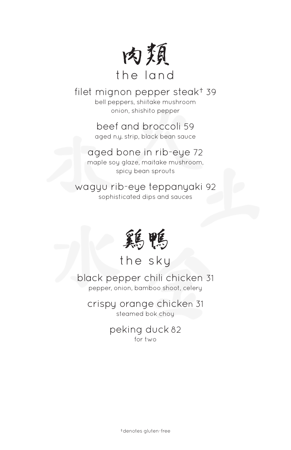

#### filet mignon pepper steak† 39 bell peppers, shiitake mushroom onion, shishito pepper

beef and broccoli 59 aged n.y. strip, black bean sauce

## aged bone in rib-eye 72

maple soy glaze, maitake mushroom, spicy bean sprouts

wagyu rib-eye teppanyaki 92 sophisticated dips and sauces



the sky

black pepper chili chicken 31 pepper, onion, bamboo shoot, celery

crispy orange chicken 31 steamed bok choy

> peking duck 82 for two

> > †denotes gluten-free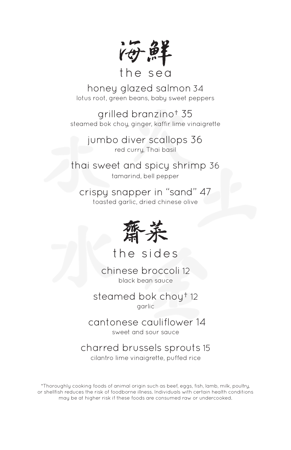他

## the sea

honey glazed salmon34 lotus root, green beans, baby sweet peppers

grilled branzino† 35 steamed bok chou, ginger, kaffir lime vinaigrette

> jumbo diver scallops 36 red curry, Thai basil

thai sweet and spicy shrimp 36 tamarind, bell pepper

crispy snapper in "sand" 47 toasted garlic, dried chinese olive



the sides

chinese broccoli 12 black bean sauce

steamed bok choy† 12 garlic

 cantonese cauliflower 14 sweet and sour sauce

charred brussels sprouts 15

cilantro lime vinaigrette, puffed rice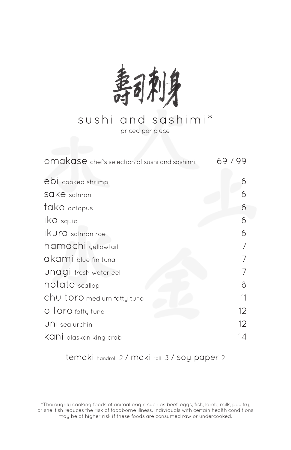

# sushi and sashimi\*

priced per piece

| omakase chef's selection of sushi and sashimi | 99<br>69 / |
|-----------------------------------------------|------------|
| ebi cooked shrimp                             | 6          |
| sake salmon                                   |            |
| tako octopus                                  | 6          |
| ika squid                                     | 6          |
| ikura salmon roe                              | 6          |
| hamachi yellowtail                            |            |
| akami blue fin tuna                           |            |
| UNAGI fresh water eel                         |            |
| hotate scallop                                | 8          |
| Chu toro medium fatty tuna                    | 11         |
| O toro fatty tuna                             | 12         |
| UNİ sea urchin                                | 12         |
| Kani alaskan king crab                        | 14         |

temaki handroll 2 / maki roll 3 / soy paper 2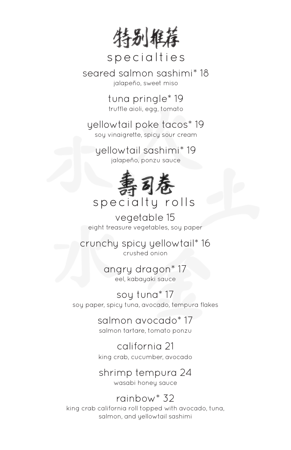特别推荐

# specialties

seared salmon sashimi\* 18 jalapeño, sweet miso

> tuna pringle\* 19 truffle aioli, egg, tomato

yellowtail poke tacos\* 19

soy vinaigrette, spicy sour cream

yellowtail sashimi\* 19 jalapeño, ponzu sauce



# specialty rolls

vegetable 15 eight treasure vegetables, soy paper

crunchy spicy yellowtail\* 16 crushed onion

> angry dragon\* 17 eel, kabayaki sauce

soy tuna\* 17 soy paper, spicy tuna, avocado, tempura flakes

> salmon avocado\* 17 salmon tartare, tomato ponzu

> california 21 king crab, cucumber, avocado

# shrimp tempura 24

wasabi honey sauce

## rainbow\* 32

king crab california roll topped with avocado, tuna, salmon, and yellowtail sashimi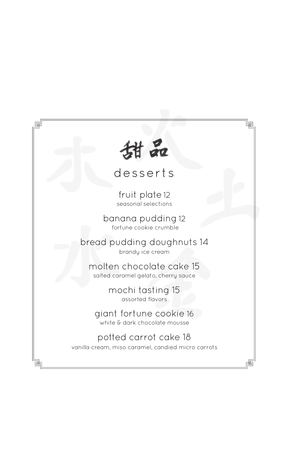